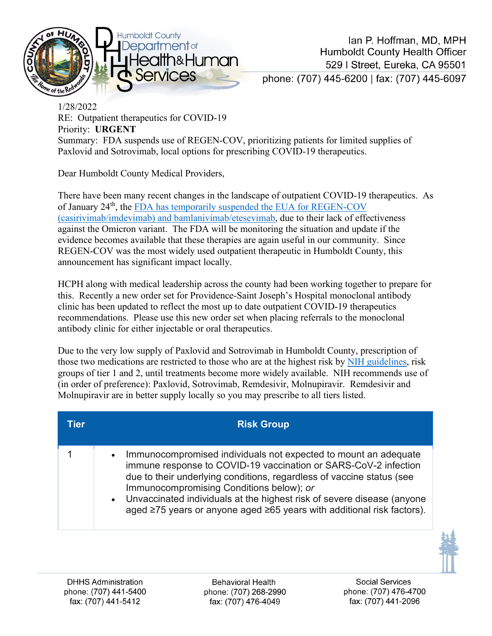

1/28/2022 RE: Outpatient therapeutics for COVID-19 Priority: **URGENT** Summary: FDA suspends use of REGEN-COV, prioritizing patients for limited supplies of Paxlovid and Sotrovimab, local options for prescribing COVID-19 therapeutics.

Dear Humboldt County Medical Providers,

There have been many recent changes in the landscape of outpatient COVID-19 therapeutics. As of January 24<sup>th</sup>, the [FDA has temporarily suspended the EUA for REGEN-COV](https://www.fda.gov/news-events/press-announcements/coronavirus-covid-19-update-fda-limits-use-certain-monoclonal-antibodies-treat-covid-19-due-omicron) [\(casirivimab/imdevimab\) and bamlanivimab/etesevimab,](https://www.fda.gov/news-events/press-announcements/coronavirus-covid-19-update-fda-limits-use-certain-monoclonal-antibodies-treat-covid-19-due-omicron) due to their lack of effectiveness against the Omicron variant. The FDA will be monitoring the situation and update if the evidence becomes available that these therapies are again useful in our community. Since REGEN-COV was the most widely used outpatient therapeutic in Humboldt County, this announcement has significant impact locally.

HCPH along with medical leadership across the county had been working together to prepare for this. Recently a new order set for Providence-Saint Joseph's Hospital monoclonal antibody clinic has been updated to reflect the most up to date outpatient COVID-19 therapeutics recommendations. Please use this new order set when placing referrals to the monoclonal antibody clinic for either injectable or oral therapeutics.

Due to the very low supply of Paxlovid and Sotrovimab in Humboldt County, prescription of those two medications are restricted to those who are at the highest risk by [NIH guidelines,](https://www.covid19treatmentguidelines.nih.gov/therapies/statement-on-patient-prioritization-for-outpatient-therapies/?utm_campaign=highlights) risk groups of tier 1 and 2, until treatments become more widely available. NIH recommends use of (in order of preference): Paxlovid, Sotrovimab, Remdesivir, Molnupiravir. Remdesivir and Molnupiravir are in better supply locally so you may prescribe to all tiers listed.

| Tier | <b>Risk Group</b>                                                                                                                                                                                                                                                                                                                                                                                             |
|------|---------------------------------------------------------------------------------------------------------------------------------------------------------------------------------------------------------------------------------------------------------------------------------------------------------------------------------------------------------------------------------------------------------------|
|      | Immunocompromised individuals not expected to mount an adequate<br>immune response to COVID-19 vaccination or SARS-CoV-2 infection<br>due to their underlying conditions, regardless of vaccine status (see<br>Immunocompromising Conditions below); or<br>• Unvaccinated individuals at the highest risk of severe disease (anyone<br>aged ≥75 years or anyone aged ≥65 years with additional risk factors). |



**Behavioral Health** phone: (707) 268-2990 fax: (707) 476-4049